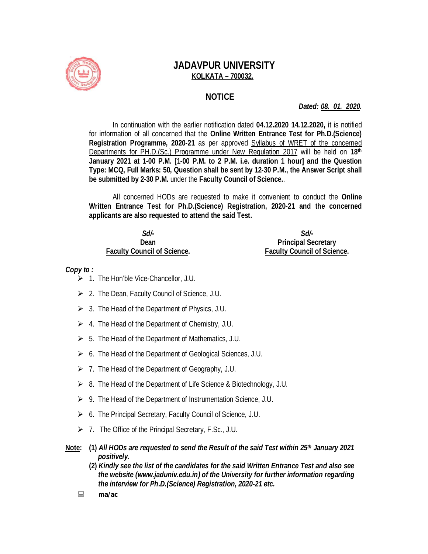

## **JADAVPUR UNIVERSITY KOLKATA – 700032.**

### **NOTICE**

*Dated: 08. 01. 2020.*

In continuation with the earlier notification dated **04.12.2020 14.12.2020,** it is notified for information of all concerned that the **Online Written Entrance Test for Ph.D.(Science) Registration Programme, 2020-21** as per approved Syllabus of WRET of the concerned Departments for PH.D.(Sc.) Programme under New Regulation 2017 will be held on **18th January 2021 at 1-00 P.M. [1-00 P.M. to 2 P.M. i.e. duration 1 hour] and the Question Type: MCQ, Full Marks: 50, Question shall be sent by 12-30 P.M., the Answer Script shall be submitted by 2-30 P.M.** under the **Faculty Council of Science.**.

All concerned HODs are requested to make it convenient to conduct the **Online Written Entrance Test for Ph.D.(Science) Registration, 2020-21 and the concerned applicants are also requested to attend the said Test.**

#### *Sd/-* **Dean Faculty Council of Science.**

#### *Sd/-* **Principal Secretary Faculty Council of Science.**

### *Copy to :*

- $\geq 1$ . The Hon'ble Vice-Chancellor, J.U.
- $\geq$  2. The Dean, Faculty Council of Science, J.U.
- $\geq$  3. The Head of the Department of Physics, J.U.
- $\geq 4$ . The Head of the Department of Chemistry, J.U.
- $\geq 5$ . The Head of the Department of Mathematics, J.U.
- $\triangleright$  6. The Head of the Department of Geological Sciences, J.U.
- $\geq 7$ . The Head of the Department of Geography, J.U.
- 8. The Head of the Department of Life Science & Biotechnology, J.U.
- $\triangleright$  9. The Head of the Department of Instrumentation Science, J.U.
- $\triangleright$  6. The Principal Secretary, Faculty Council of Science, J.U.
- $\geq 7$ . The Office of the Principal Secretary, F.Sc., J.U.
- **Note: (1)** *All HODs are requested to send the Result of the said Test within 25th January 2021 positively.*
	- **(2)** *Kindly see the list of the candidates for the said Written Entrance Test and also see the website (www.jaduniv.edu.in) of the University for further information regarding the interview for Ph.D.(Science) Registration, 2020-21 etc.*
	- *ma/ac*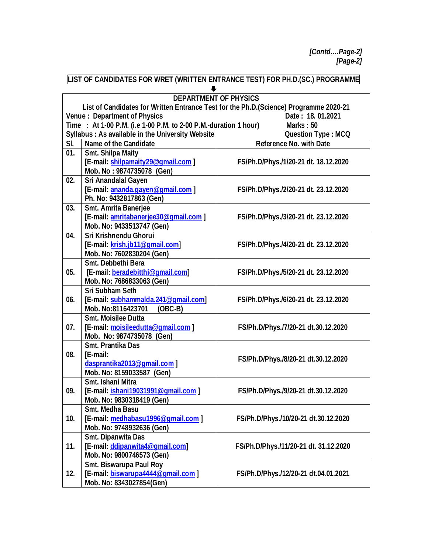*[Contd….Page-2] [Page-2]*

### **LIST OF CANDIDATES FOR WRET (WRITTEN ENTRANCE TEST) FOR PH.D.(SC.) PROGRAMME**

|                                                                               | <b>DEPARTMENT OF PHYSICS</b>                                                           |                                       |  |  |
|-------------------------------------------------------------------------------|----------------------------------------------------------------------------------------|---------------------------------------|--|--|
|                                                                               | List of Candidates for Written Entrance Test for the Ph.D. (Science) Programme 2020-21 |                                       |  |  |
|                                                                               | Venue: Department of Physics                                                           | Date: 18.01.2021                      |  |  |
| Time : At 1-00 P.M. (i.e 1-00 P.M. to 2-00 P.M.-duration 1 hour)<br>Marks: 50 |                                                                                        |                                       |  |  |
|                                                                               | Syllabus: As available in the University Website                                       | <b>Question Type: MCQ</b>             |  |  |
| SI.                                                                           | <b>Name of the Candidate</b>                                                           | <b>Reference No. with Date</b>        |  |  |
| 01.                                                                           | <b>Smt. Shilpa Maity</b>                                                               |                                       |  |  |
|                                                                               | [E-mail: shilpamaity29@gmail.com]                                                      | FS/Ph.D/Phys./1/20-21 dt. 18.12.2020  |  |  |
|                                                                               | Mob. No: 9874735078 (Gen)                                                              |                                       |  |  |
| 02.                                                                           | Sri Anandalal Gayen                                                                    |                                       |  |  |
|                                                                               | [E-mail: ananda.gayen@gmail.com]                                                       | FS/Ph.D/Phys./2/20-21 dt. 23.12.2020  |  |  |
|                                                                               | Ph. No: 9432817863 (Gen)                                                               |                                       |  |  |
| 03.                                                                           | Smt. Amrita Banerjee                                                                   |                                       |  |  |
|                                                                               | [E-mail: amritabanerjee30@gmail.com]                                                   | FS/Ph.D/Phys./3/20-21 dt. 23.12.2020  |  |  |
|                                                                               | Mob. No: 9433513747 (Gen)                                                              |                                       |  |  |
| 04.                                                                           | Sri Krishnendu Ghorui                                                                  |                                       |  |  |
|                                                                               | [E-mail: krish.jb11@gmail.com]                                                         | FS/Ph.D/Phys./4/20-21 dt. 23.12.2020  |  |  |
|                                                                               | Mob. No: 7602830204 (Gen)                                                              |                                       |  |  |
|                                                                               | Smt. Debbethi Bera                                                                     |                                       |  |  |
| 05.                                                                           | [E-mail: beradebitthi@gmail.com]                                                       | FS/Ph.D/Phys./5/20-21 dt. 23.12.2020  |  |  |
|                                                                               | Mob. No: 7686833063 (Gen)                                                              |                                       |  |  |
|                                                                               | <b>Sri Subham Seth</b>                                                                 |                                       |  |  |
| 06.                                                                           | [E-mail: subhammalda.241@gmail.com]                                                    | FS/Ph.D/Phys./6/20-21 dt. 23.12.2020  |  |  |
|                                                                               | Mob. No:8116423701<br>$(OBC-B)$                                                        |                                       |  |  |
|                                                                               | <b>Smt. Moisilee Dutta</b>                                                             |                                       |  |  |
| 07.                                                                           | [E-mail: moisileedutta@gmail.com]                                                      | FS/Ph.D/Phys./7/20-21 dt.30.12.2020   |  |  |
|                                                                               | Mob. No: 9874735078 (Gen)                                                              |                                       |  |  |
|                                                                               | <b>Smt. Prantika Das</b>                                                               |                                       |  |  |
| 08.                                                                           | [E-mail:                                                                               | FS/Ph.D/Phys./8/20-21 dt.30.12.2020   |  |  |
|                                                                               | dasprantika2013@gmail.com ]                                                            |                                       |  |  |
|                                                                               | Mob. No: 8159033587 (Gen)                                                              |                                       |  |  |
|                                                                               | Smt. Ishani Mitra                                                                      |                                       |  |  |
| 09.                                                                           | [E-mail: ishani19031991@gmail.com]                                                     | FS/Ph.D/Phys./9/20-21 dt.30.12.2020   |  |  |
|                                                                               | Mob. No: 9830318419 (Gen)                                                              |                                       |  |  |
|                                                                               | <b>Smt. Medha Basu</b>                                                                 |                                       |  |  |
| 10.                                                                           | [E-mail: medhabasu1996@gmail.com]                                                      | FS/Ph.D/Phys./10/20-21 dt.30.12.2020  |  |  |
|                                                                               | Mob. No: 9748932636 (Gen)                                                              |                                       |  |  |
|                                                                               | Smt. Dipanwita Das                                                                     |                                       |  |  |
| 11.                                                                           | [E-mail: ddipanwita4@gmail.com]                                                        | FS/Ph.D/Phys./11/20-21 dt. 31.12.2020 |  |  |
|                                                                               | Mob. No: 9800746573 (Gen)                                                              |                                       |  |  |
|                                                                               | <b>Smt. Biswarupa Paul Roy</b>                                                         |                                       |  |  |
| 12.                                                                           | [E-mail: biswarupa4444@gmail.com]                                                      | FS/Ph.D/Phys./12/20-21 dt.04.01.2021  |  |  |
|                                                                               | Mob. No: 8343027854(Gen)                                                               |                                       |  |  |